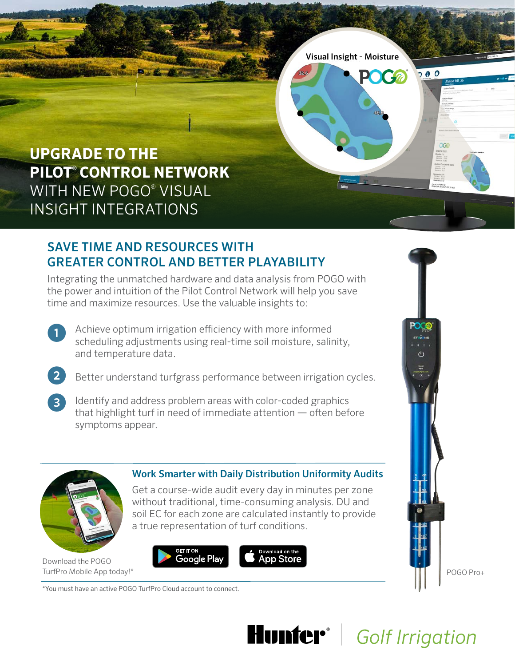

# SAVE TIME AND RESOURCES WITH **GREATER CONTROL AND BETTER PLAYABILITY**

Integrating the unmatched hardware and data analysis from POGO with the power and intuition of the Pilot Control Network will help you save time and maximize resources. Use the valuable insights to:

- Achieve optimum irrigation efficiency with more informed scheduling adjustments using real-time soil moisture, salinity, and temperature data. 1
	- Better understand turfgrass performance between irrigation cycles.
- dentify and address problem areas with color-coded graphics that highlight turf in need of immediate attention  $-$  often before symptoms appear.  $\boxed{3}$



2

Download the POGO TurfPro Mobile App today!\*

### **Work Smarter with Daily Distribution Uniformity Audits**

Get a course-wide audit every day in minutes per zone without traditional, time-consuming analysis. DU and soil EC for each zone are calculated instantly to provide a true representation of turf conditions.







\*You must have an active POGO TurfPro Cloud account to connect.



**Hunter**<sup>®</sup> Golf Irrigation